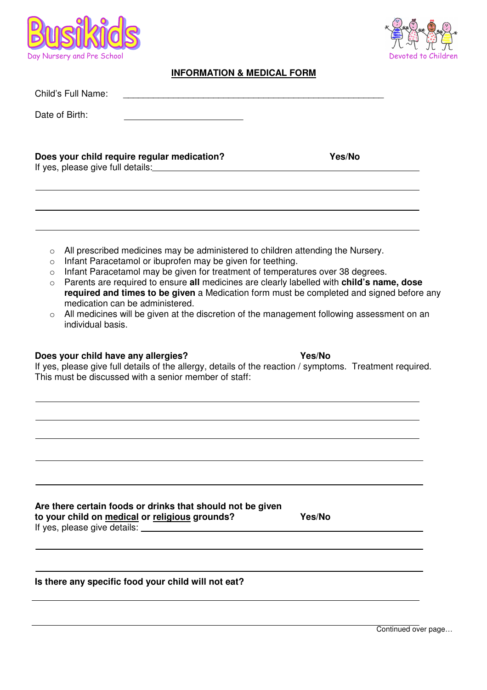



## **INFORMATION & MEDICAL FORM**

| Child's Full Name:                                                                                                                                                                                                                                                                                                                                                                                                                                                                                                                                                                                                                                                                                                                                                                                                                                |               |
|---------------------------------------------------------------------------------------------------------------------------------------------------------------------------------------------------------------------------------------------------------------------------------------------------------------------------------------------------------------------------------------------------------------------------------------------------------------------------------------------------------------------------------------------------------------------------------------------------------------------------------------------------------------------------------------------------------------------------------------------------------------------------------------------------------------------------------------------------|---------------|
| Date of Birth:                                                                                                                                                                                                                                                                                                                                                                                                                                                                                                                                                                                                                                                                                                                                                                                                                                    |               |
| Does your child require regular medication?<br>If yes, please give full details: [2010] The same state of the state of the state of the state of the state of the state of the state of the state of the state of the state of the state of the state of the state of the sta                                                                                                                                                                                                                                                                                                                                                                                                                                                                                                                                                                     | Yes/No        |
| All prescribed medicines may be administered to children attending the Nursery.<br>$\circ$<br>Infant Paracetamol or ibuprofen may be given for teething.<br>$\circ$<br>Infant Paracetamol may be given for treatment of temperatures over 38 degrees.<br>$\circ$<br>Parents are required to ensure all medicines are clearly labelled with child's name, dose<br>$\circ$<br>required and times to be given a Medication form must be completed and signed before any<br>medication can be administered.<br>All medicines will be given at the discretion of the management following assessment on an<br>$\circ$<br>individual basis.<br>Does your child have any allergies?<br>If yes, please give full details of the allergy, details of the reaction / symptoms. Treatment required.<br>This must be discussed with a senior member of staff: | Yes/No        |
| Are there certain foods or drinks that should not be given                                                                                                                                                                                                                                                                                                                                                                                                                                                                                                                                                                                                                                                                                                                                                                                        |               |
| to your child on medical or religious grounds?                                                                                                                                                                                                                                                                                                                                                                                                                                                                                                                                                                                                                                                                                                                                                                                                    | <b>Yes/No</b> |
| Is there any specific food your child will not eat?                                                                                                                                                                                                                                                                                                                                                                                                                                                                                                                                                                                                                                                                                                                                                                                               |               |
|                                                                                                                                                                                                                                                                                                                                                                                                                                                                                                                                                                                                                                                                                                                                                                                                                                                   |               |